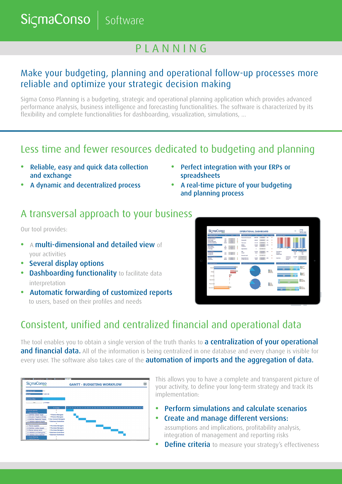**SicmaConso Software** 

# P L A N N I N G

## Make your budgeting, planning and operational follow-up processes more reliable and optimize your strategic decision making

Sigma Conso Planning is a budgeting, strategic and operational planning application which provides advanced performance analysis, business intelligence and forecasting functionalities. The software is characterized by its flexibility and complete functionalities for dashboarding, visualization, simulations, ...

## Less time and fewer resources dedicated to budgeting and planning

- Reliable, easy and quick data collection and exchange
- Perfect integration with your ERPs or spreadsheets
- A dynamic and decentralized process
- A real-time picture of your budgeting and planning process
- A transversal approach to your business

Our tool provides:

- **•** A multi-dimensional and detailed view of your activities
- Several display options
- **Dashboarding functionality** to facilitate data interpretation
- **•** Automatic forwarding of customized reports to users, based on their profiles and needs



# Consistent, unified and centralized financial and operational data

The tool enables you to obtain a single version of the truth thanks to **a centralization of your operational** and financial data. All of the information is being centralized in one database and every change is visible for every user. The software also takes care of the **automation of imports and the aggregation of data.** 



This allows you to have a complete and transparent picture of your activity, to define your long-term strategy and track its implementation:

- **•** Perform simulations and calculate scenarios
- **•** Create and manage different versions:

 assumptions and implications, profitability analysis, integration of management and reporting risks

**Define criteria** to measure your strategy's effectiveness